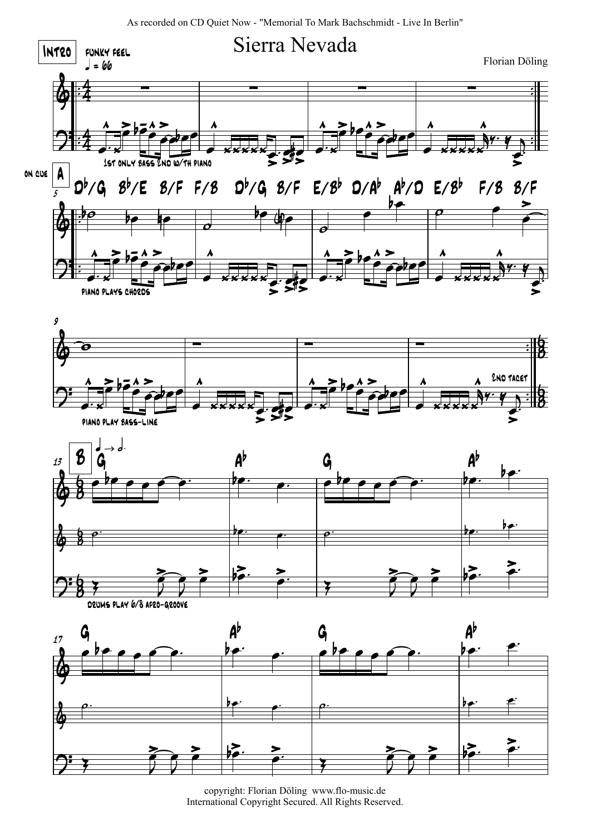As recorded on CD Quiet Now - "Memorial To Mark Bachschmidt - Live In Berlin"



copyright: Florian Döling www.flo-music.de International Copyright Secured. All Rights Reserved.